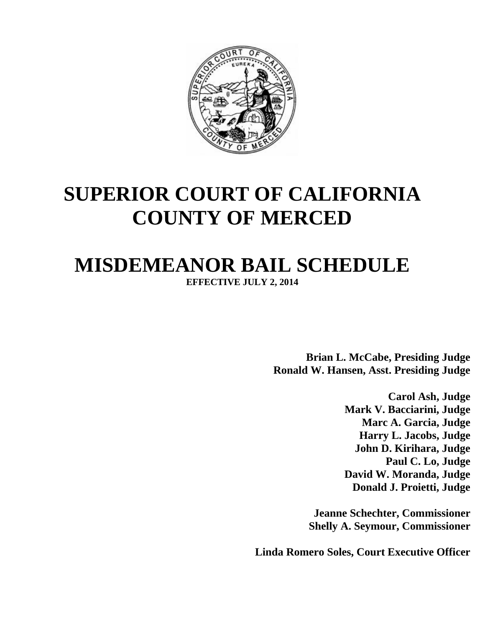

## **SUPERIOR COURT OF CALIFORNIA COUNTY OF MERCED**

## **MISDEMEANOR BAIL SCHEDULE**

**EFFECTIVE JULY 2, 2014**

**Brian L. McCabe, Presiding Judge Ronald W. Hansen, Asst. Presiding Judge**

> **Carol Ash, Judge Mark V. Bacciarini, Judge Marc A. Garcia, Judge Harry L. Jacobs, Judge John D. Kirihara, Judge Paul C. Lo, Judge David W. Moranda, Judge Donald J. Proietti, Judge**

**Jeanne Schechter, Commissioner Shelly A. Seymour, Commissioner**

**Linda Romero Soles, Court Executive Officer**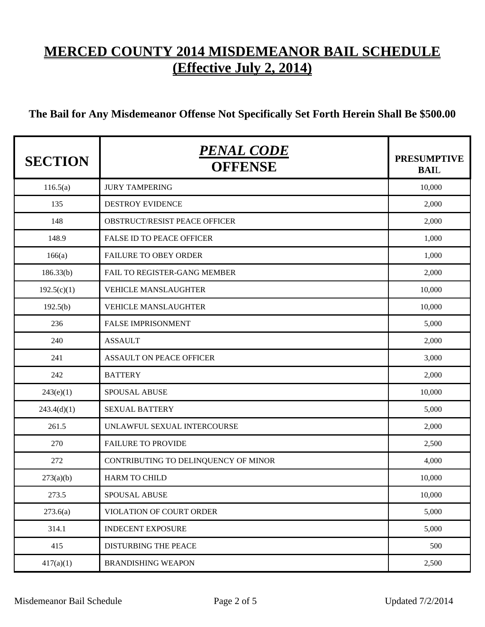## **MERCED COUNTY 2014 MISDEMEANOR BAIL SCHEDULE (Effective July 2, 2014)**

## **The Bail for Any Misdemeanor Offense Not Specifically Set Forth Herein Shall Be \$500.00**

| <b>SECTION</b> | PENAL CODE<br><b>OFFENSE</b>         | <b>PRESUMPTIVE</b><br><b>BAIL</b> |
|----------------|--------------------------------------|-----------------------------------|
| 116.5(a)       | <b>JURY TAMPERING</b>                | 10,000                            |
| 135            | <b>DESTROY EVIDENCE</b>              | 2,000                             |
| 148            | OBSTRUCT/RESIST PEACE OFFICER        | 2,000                             |
| 148.9          | <b>FALSE ID TO PEACE OFFICER</b>     | 1,000                             |
| 166(a)         | <b>FAILURE TO OBEY ORDER</b>         | 1,000                             |
| 186.33(b)      | FAIL TO REGISTER-GANG MEMBER         | 2,000                             |
| 192.5(c)(1)    | <b>VEHICLE MANSLAUGHTER</b>          | 10,000                            |
| 192.5(b)       | <b>VEHICLE MANSLAUGHTER</b>          | 10,000                            |
| 236            | <b>FALSE IMPRISONMENT</b>            | 5,000                             |
| 240            | <b>ASSAULT</b>                       | 2,000                             |
| 241            | <b>ASSAULT ON PEACE OFFICER</b>      | 3,000                             |
| 242            | <b>BATTERY</b>                       | 2,000                             |
| 243(e)(1)      | <b>SPOUSAL ABUSE</b>                 | 10,000                            |
| 243.4(d)(1)    | <b>SEXUAL BATTERY</b>                | 5,000                             |
| 261.5          | UNLAWFUL SEXUAL INTERCOURSE          | 2,000                             |
| 270            | <b>FAILURE TO PROVIDE</b>            | 2,500                             |
| 272            | CONTRIBUTING TO DELINQUENCY OF MINOR | 4,000                             |
| 273(a)(b)      | <b>HARM TO CHILD</b>                 | 10,000                            |
| 273.5          | SPOUSAL ABUSE                        | 10,000                            |
| 273.6(a)       | VIOLATION OF COURT ORDER             | 5,000                             |
| 314.1          | <b>INDECENT EXPOSURE</b>             | 5,000                             |
| 415            | DISTURBING THE PEACE                 | 500                               |
| 417(a)(1)      | <b>BRANDISHING WEAPON</b>            | 2,500                             |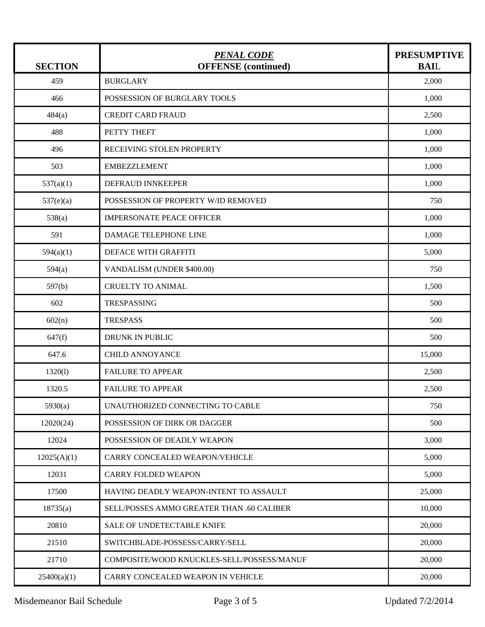| <b>SECTION</b> | <u>PENAL CODE</u><br><b>OFFENSE</b> (continued) | <b>PRESUMPTIVE</b><br><b>BAIL</b> |
|----------------|-------------------------------------------------|-----------------------------------|
| 459            | <b>BURGLARY</b>                                 | 2,000                             |
| 466            | POSSESSION OF BURGLARY TOOLS                    | 1,000                             |
| 484(a)         | <b>CREDIT CARD FRAUD</b>                        | 2,500                             |
| 488            | PETTY THEFT                                     | 1,000                             |
| 496            | RECEIVING STOLEN PROPERTY                       | 1,000                             |
| 503            | <b>EMBEZZLEMENT</b>                             | 1,000                             |
| 537(a)(1)      | DEFRAUD INNKEEPER                               | 1,000                             |
| 537(e)(a)      | POSSESSION OF PROPERTY W/ID REMOVED             | 750                               |
| 538(a)         | <b>IMPERSONATE PEACE OFFICER</b>                | 1,000                             |
| 591            | DAMAGE TELEPHONE LINE                           | 1,000                             |
| 594(a)(1)      | DEFACE WITH GRAFFITI                            | 5,000                             |
| 594(a)         | VANDALISM (UNDER \$400.00)                      | 750                               |
| 597(b)         | <b>CRUELTY TO ANIMAL</b>                        | 1,500                             |
| 602            | TRESPASSING                                     | 500                               |
| 602(n)         | <b>TRESPASS</b>                                 | 500                               |
| 647(f)         | DRUNK IN PUBLIC                                 | 500                               |
| 647.6          | <b>CHILD ANNOYANCE</b>                          | 15,000                            |
| 1320(l)        | <b>FAILURE TO APPEAR</b>                        | 2,500                             |
| 1320.5         | <b>FAILURE TO APPEAR</b>                        | 2,500                             |
| 5930(a)        | UNAUTHORIZED CONNECTING TO CABLE                | 750                               |
| 12020(24)      | POSSESSION OF DIRK OR DAGGER                    | 500                               |
| 12024          | POSSESSION OF DEADLY WEAPON                     | 3,000                             |
| 12025(A)(1)    | CARRY CONCEALED WEAPON/VEHICLE                  | 5,000                             |
| 12031          | CARRY FOLDED WEAPON                             | 5,000                             |
| 17500          | HAVING DEADLY WEAPON-INTENT TO ASSAULT          | 25,000                            |
| 18735(a)       | SELL/POSSES AMMO GREATER THAN .60 CALIBER       | 10,000                            |
| 20810          | SALE OF UNDETECTABLE KNIFE                      | 20,000                            |
| 21510          | SWITCHBLADE-POSSESS/CARRY/SELL                  | 20,000                            |
| 21710          | COMPOSITE/WOOD KNUCKLES-SELL/POSSESS/MANUF      | 20,000                            |
| 25400(a)(1)    | CARRY CONCEALED WEAPON IN VEHICLE               | 20,000                            |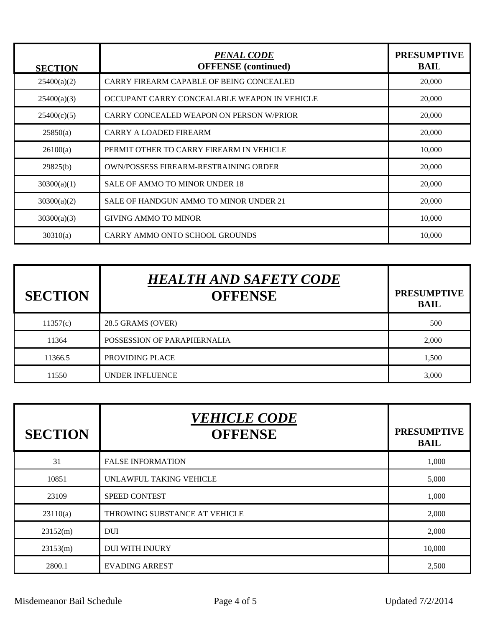| <b>SECTION</b> | <b>PENAL CODE</b><br><b>OFFENSE</b> (continued) | <b>PRESUMPTIVE</b><br><b>BAIL</b> |
|----------------|-------------------------------------------------|-----------------------------------|
| 25400(a)(2)    | CARRY FIREARM CAPABLE OF BEING CONCEALED        | 20,000                            |
| 25400(a)(3)    | OCCUPANT CARRY CONCEALABLE WEAPON IN VEHICLE    | 20,000                            |
| 25400(c)(5)    | CARRY CONCEALED WEAPON ON PERSON W/PRIOR        | 20,000                            |
| 25850(a)       | <b>CARRY A LOADED FIREARM</b>                   | 20,000                            |
| 26100(a)       | PERMIT OTHER TO CARRY FIREARM IN VEHICLE        | 10,000                            |
| 29825(b)       | OWN/POSSESS FIREARM-RESTRAINING ORDER           | 20,000                            |
| 30300(a)(1)    | <b>SALE OF AMMO TO MINOR UNDER 18</b>           | 20,000                            |
| 30300(a)(2)    | SALE OF HANDGUN AMMO TO MINOR UNDER 21          | 20,000                            |
| 30300(a)(3)    | <b>GIVING AMMO TO MINOR</b>                     | 10,000                            |
| 30310(a)       | <b>CARRY AMMO ONTO SCHOOL GROUNDS</b>           | 10,000                            |

| <b>SECTION</b> | <b>HEALTH AND SAFETY CODE</b><br><b>OFFENSE</b> | <b>PRESUMPTIVE</b><br><b>BAIL</b> |
|----------------|-------------------------------------------------|-----------------------------------|
| 11357(c)       | 28.5 GRAMS (OVER)                               | 500                               |
| 11364          | POSSESSION OF PARAPHERNALIA                     | 2,000                             |
| 11366.5        | PROVIDING PLACE                                 | 1,500                             |
| 11550          | <b>UNDER INFLUENCE</b>                          | 3,000                             |

| <b>SECTION</b> | <b>VEHICLE CODE</b><br><b>OFFENSE</b> | <b>PRESUMPTIVE</b><br><b>BAIL</b> |
|----------------|---------------------------------------|-----------------------------------|
| 31             | <b>FALSE INFORMATION</b>              | 1,000                             |
| 10851          | UNLAWFUL TAKING VEHICLE               | 5,000                             |
| 23109          | <b>SPEED CONTEST</b>                  | 1,000                             |
| 23110(a)       | THROWING SUBSTANCE AT VEHICLE         | 2,000                             |
| 23152(m)       | <b>DUI</b>                            | 2,000                             |
| 23153(m)       | <b>DUI WITH INJURY</b>                | 10,000                            |
| 2800.1         | <b>EVADING ARREST</b>                 | 2,500                             |